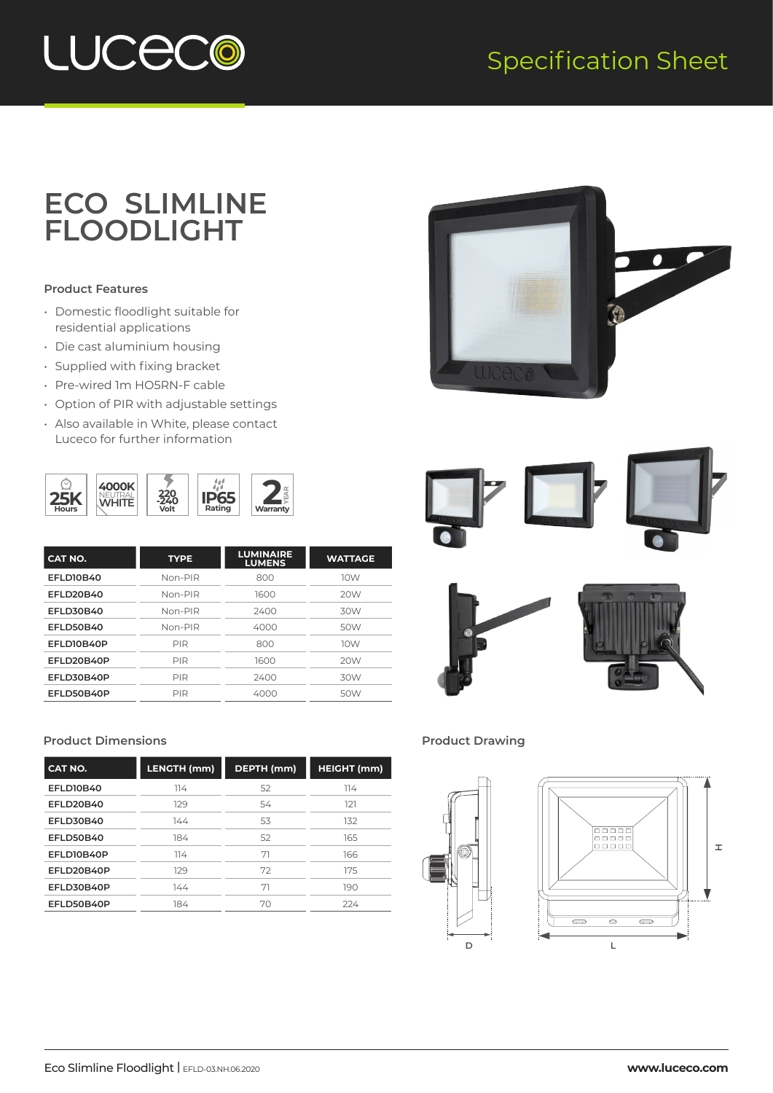## Specification Sheet



## **ECO SLIMLINE FLOODLIGHT**

### **Product Features**

- Domestic floodlight suitable for residential applications
- Die cast aluminium housing
- Supplied with fixing bracket
- Pre-wired 1m HO5RN-F cable
- Option of PIR with adjustable settings
- Also available in White, please contact Luceco for further information



| CAT NO.    | <b>TYPE</b> | <b>LUMINAIRE</b><br><b>LUMENS</b> | <b>WATTAGE</b> |
|------------|-------------|-----------------------------------|----------------|
| EFLD10B40  | Non-PIR     | 800                               | 10W            |
| EFLD20B40  | $Non-PIR$   | 1600                              | 20W            |
| EFLD30B40  | Non-PIR     | 2400                              | 30W            |
| EFLD50B40  | Non-PIR     | 4000                              | 50W            |
| EFLD10B40P | PIR         | 800                               | 10W            |
| EFLD20B40P | PIR         | 1600                              | 20W            |
| EFLD30B40P | PIR         | 2400                              | 30W            |
| EFLD50B40P | PIR         | 4000                              | 50W            |
|            |             |                                   |                |

#### **Product Dimensions Product Drawing**

| CAT NO.     | LENGTH (mm) | DEPTH (mm) | <b>HEIGHT</b> (mm) |
|-------------|-------------|------------|--------------------|
| EFLD10B40   | 114         | 52         | 114                |
| EFLD20B40   | 129         | 54         | 121                |
| EFLD30B40   | 144         | 53         | 132                |
| EFLD50B40   | 184         | 52         | 165                |
| EFLD10B40P  | 114         | 71         | 166                |
| FFI D20B40P | 129         | 72         | 175                |
| EFLD30B40P  | 144         | 71         | 190                |
| EFLD50B40P  | 184         | 70         | 224                |